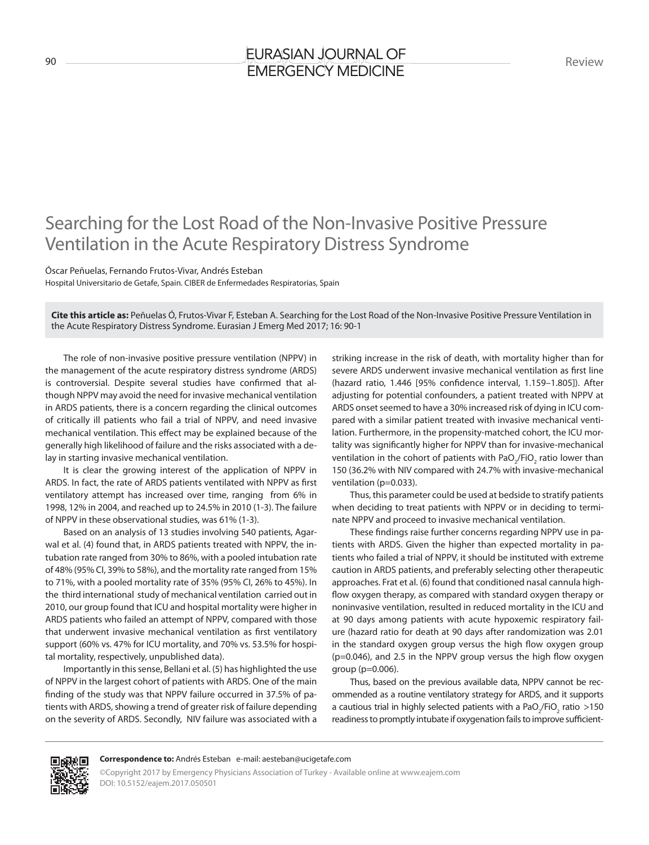## Searching for the Lost Road of the Non-Invasive Positive Pressure Ventilation in the Acute Respiratory Distress Syndrome

Óscar Peñuelas, Fernando Frutos-Vivar, Andrés Esteban

Hospital Universitario de Getafe, Spain. CIBER de Enfermedades Respiratorias, Spain

**Cite this article as:** Peñuelas Ó, Frutos-Vivar F, Esteban A. Searching for the Lost Road of the Non-Invasive Positive Pressure Ventilation in the Acute Respiratory Distress Syndrome. Eurasian J Emerg Med 2017; 16: 90-1

The role of non-invasive positive pressure ventilation (NPPV) in the management of the acute respiratory distress syndrome (ARDS) is controversial. Despite several studies have confirmed that although NPPV may avoid the need for invasive mechanical ventilation in ARDS patients, there is a concern regarding the clinical outcomes of critically ill patients who fail a trial of NPPV, and need invasive mechanical ventilation. This effect may be explained because of the generally high likelihood of failure and the risks associated with a delay in starting invasive mechanical ventilation.

It is clear the growing interest of the application of NPPV in ARDS. In fact, the rate of ARDS patients ventilated with NPPV as first ventilatory attempt has increased over time, ranging from 6% in 1998, 12% in 2004, and reached up to 24.5% in 2010 (1-3). The failure of NPPV in these observational studies, was 61% (1-3).

Based on an analysis of 13 studies involving 540 patients, Agarwal et al. (4) found that, in ARDS patients treated with NPPV, the intubation rate ranged from 30% to 86%, with a pooled intubation rate of 48% (95% CI, 39% to 58%), and the mortality rate ranged from 15% to 71%, with a pooled mortality rate of 35% (95% CI, 26% to 45%). In the third international study of mechanical ventilation carried out in 2010, our group found that ICU and hospital mortality were higher in ARDS patients who failed an attempt of NPPV, compared with those that underwent invasive mechanical ventilation as first ventilatory support (60% vs. 47% for ICU mortality, and 70% vs. 53.5% for hospital mortality, respectively, unpublished data).

Importantly in this sense, Bellani et al. (5) has highlighted the use of NPPV in the largest cohort of patients with ARDS. One of the main finding of the study was that NPPV failure occurred in 37.5% of patients with ARDS, showing a trend of greater risk of failure depending on the severity of ARDS. Secondly, NIV failure was associated with a

striking increase in the risk of death, with mortality higher than for severe ARDS underwent invasive mechanical ventilation as first line (hazard ratio, 1.446 [95% confidence interval, 1.159–1.805]). After adjusting for potential confounders, a patient treated with NPPV at ARDS onset seemed to have a 30% increased risk of dying in ICU compared with a similar patient treated with invasive mechanical ventilation. Furthermore, in the propensity-matched cohort, the ICU mortality was significantly higher for NPPV than for invasive-mechanical ventilation in the cohort of patients with PaO<sub>2</sub>/FiO<sub>2</sub> ratio lower than 150 (36.2% with NIV compared with 24.7% with invasive-mechanical ventilation (p=0.033).

Thus, this parameter could be used at bedside to stratify patients when deciding to treat patients with NPPV or in deciding to terminate NPPV and proceed to invasive mechanical ventilation.

These findings raise further concerns regarding NPPV use in patients with ARDS. Given the higher than expected mortality in patients who failed a trial of NPPV, it should be instituted with extreme caution in ARDS patients, and preferably selecting other therapeutic approaches. Frat et al. (6) found that conditioned nasal cannula highflow oxygen therapy, as compared with standard oxygen therapy or noninvasive ventilation, resulted in reduced mortality in the ICU and at 90 days among patients with acute hypoxemic respiratory failure (hazard ratio for death at 90 days after randomization was 2.01 in the standard oxygen group versus the high flow oxygen group (p=0.046), and 2.5 in the NPPV group versus the high flow oxygen group (p=0.006).

Thus, based on the previous available data, NPPV cannot be recommended as a routine ventilatory strategy for ARDS, and it supports a cautious trial in highly selected patients with a PaO<sub>2</sub>/FiO<sub>2</sub> ratio >150 readiness to promptly intubate if oxygenation fails to improve sufficient-



## **Correspondence to:** Andrés Esteban e-mail: aesteban@ucigetafe.com

©Copyright 2017 by Emergency Physicians Association of Turkey - Available online at www.eajem.com DOI: 10.5152/eajem.2017.050501